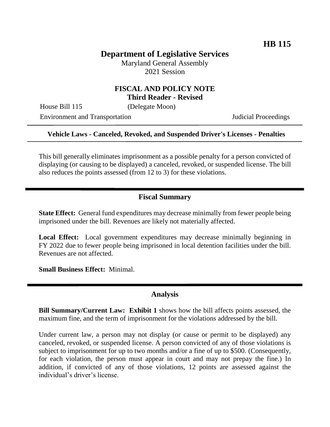# **Department of Legislative Services**

Maryland General Assembly 2021 Session

### **FISCAL AND POLICY NOTE Third Reader - Revised**

House Bill 115 (Delegate Moon)

Environment and Transportation Judicial Proceedings

#### **Vehicle Laws - Canceled, Revoked, and Suspended Driver's Licenses - Penalties**

This bill generally eliminates imprisonment as a possible penalty for a person convicted of displaying (or causing to be displayed) a canceled, revoked, or suspended license. The bill also reduces the points assessed (from 12 to 3) for these violations.

### **Fiscal Summary**

**State Effect:** General fund expenditures may decrease minimally from fewer people being imprisoned under the bill. Revenues are likely not materially affected.

**Local Effect:** Local government expenditures may decrease minimally beginning in FY 2022 due to fewer people being imprisoned in local detention facilities under the bill. Revenues are not affected.

**Small Business Effect:** Minimal.

#### **Analysis**

**Bill Summary/Current Law: Exhibit 1** shows how the bill affects points assessed, the maximum fine, and the term of imprisonment for the violations addressed by the bill.

Under current law, a person may not display (or cause or permit to be displayed) any canceled, revoked, or suspended license. A person convicted of any of those violations is subject to imprisonment for up to two months and/or a fine of up to \$500. (Consequently, for each violation, the person must appear in court and may not prepay the fine.) In addition, if convicted of any of those violations, 12 points are assessed against the individual's driver's license.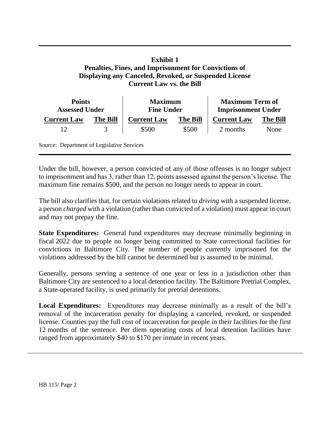## **Exhibit 1 Penalties, Fines, and Imprisonment for Convictions of Displaying any Canceled, Revoked, or Suspended License Current Law vs. the Bill**

| <b>Points</b><br><b>Assessed Under</b> |                 | <b>Maximum</b><br><b>Fine Under</b> |                 | <b>Maximum Term of</b><br><b>Imprisonment Under</b> |                 |
|----------------------------------------|-----------------|-------------------------------------|-----------------|-----------------------------------------------------|-----------------|
| <b>Current Law</b>                     | <b>The Bill</b> | <b>Current Law</b>                  | <b>The Bill</b> | <b>Current Law</b>                                  | <b>The Bill</b> |
| 12                                     |                 | \$500                               | \$500           | 2 months                                            | None            |

Source: Department of Legislative Services

Under the bill, however, a person convicted of any of those offenses is no longer subject to imprisonment and has 3, rather than 12, points assessed against the person's license. The maximum fine remains \$500, and the person no longer needs to appear in court.

The bill also clarifies that, for certain violations related to *driving* with a suspended license, a person *charged* with a violation (rather than convicted of a violation) must appear in court and may not prepay the fine.

**State Expenditures:** General fund expenditures may decrease minimally beginning in fiscal 2022 due to people no longer being committed to State correctional facilities for convictions in Baltimore City. The number of people currently imprisoned for the violations addressed by the bill cannot be determined but is assumed to be minimal.

Generally, persons serving a sentence of one year or less in a jurisdiction other than Baltimore City are sentenced to a local detention facility. The Baltimore Pretrial Complex, a State-operated facility, is used primarily for pretrial detentions.

**Local Expenditures:** Expenditures may decrease minimally as a result of the bill's removal of the incarceration penalty for displaying a canceled, revoked, or suspended license. Counties pay the full cost of incarceration for people in their facilities for the first 12 months of the sentence. Per diem operating costs of local detention facilities have ranged from approximately \$40 to \$170 per inmate in recent years.